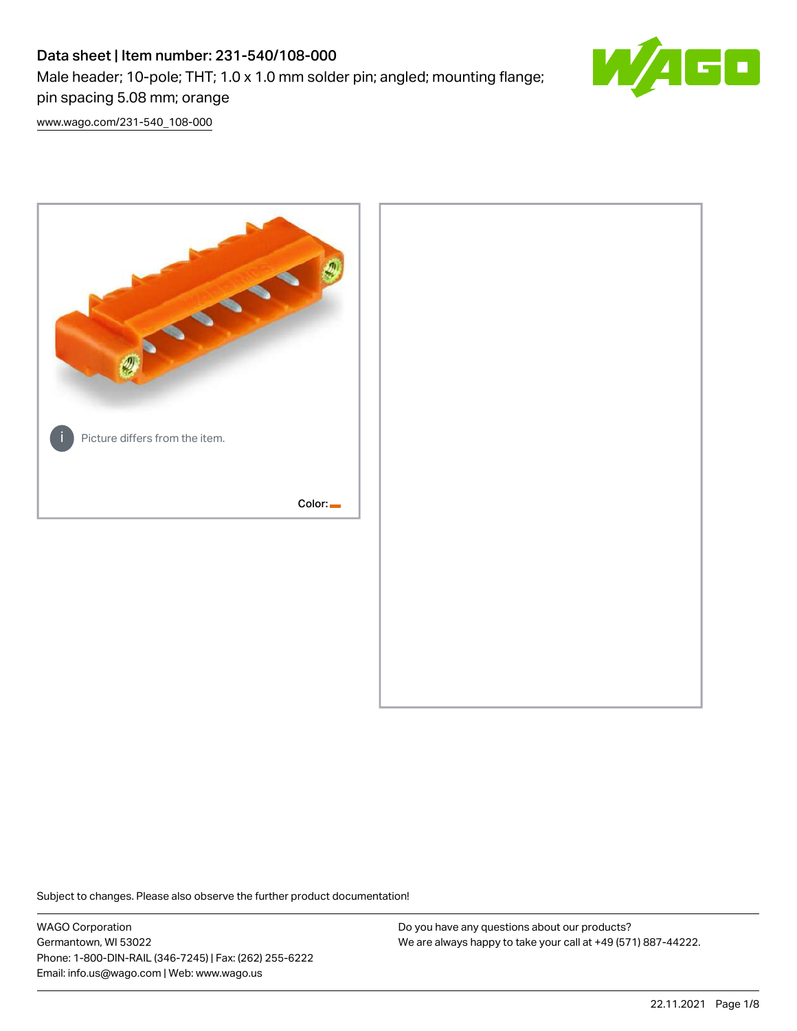# Data sheet | Item number: 231-540/108-000 Male header; 10-pole; THT; 1.0 x 1.0 mm solder pin; angled; mounting flange; pin spacing 5.08 mm; orange



[www.wago.com/231-540\\_108-000](http://www.wago.com/231-540_108-000)



Subject to changes. Please also observe the further product documentation!

WAGO Corporation Germantown, WI 53022 Phone: 1-800-DIN-RAIL (346-7245) | Fax: (262) 255-6222 Email: info.us@wago.com | Web: www.wago.us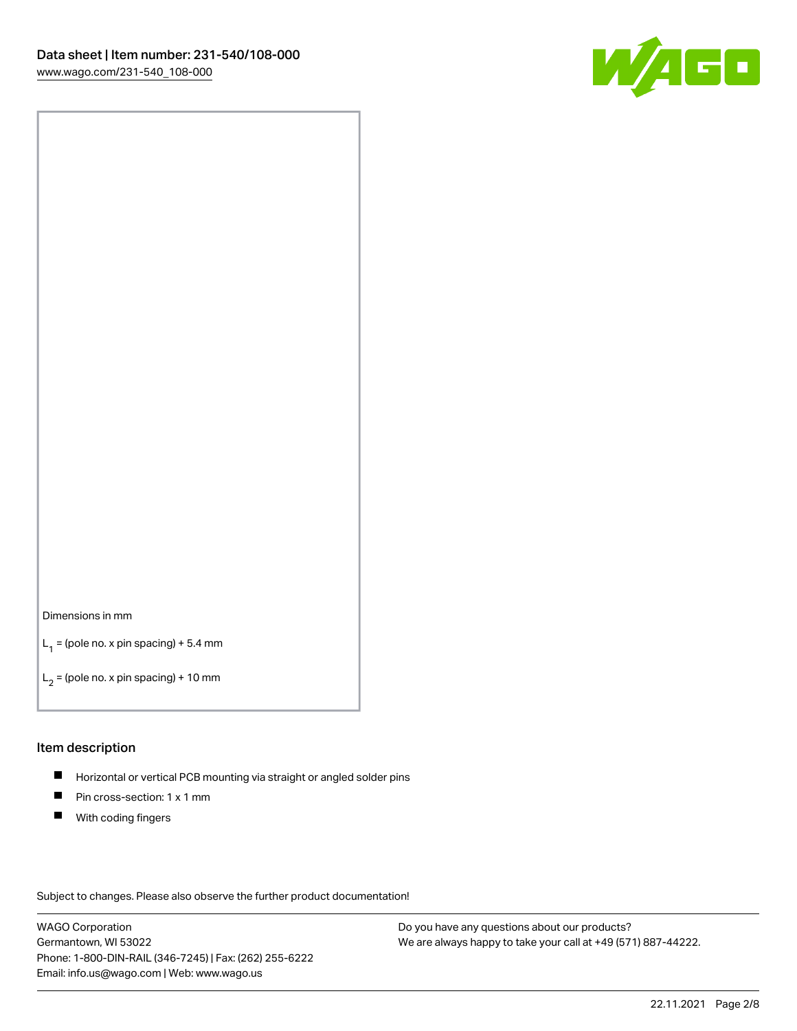

### Dimensions in mm

 $L_1$  = (pole no. x pin spacing) + 5.4 mm

 $L_2$  = (pole no. x pin spacing) + 10 mm

## Item description

- $\blacksquare$ Horizontal or vertical PCB mounting via straight or angled solder pins
- $\blacksquare$ Pin cross-section: 1 x 1 mm
- $\blacksquare$ With coding fingers

Subject to changes. Please also observe the further product documentation!

WAGO Corporation Germantown, WI 53022 Phone: 1-800-DIN-RAIL (346-7245) | Fax: (262) 255-6222 Email: info.us@wago.com | Web: www.wago.us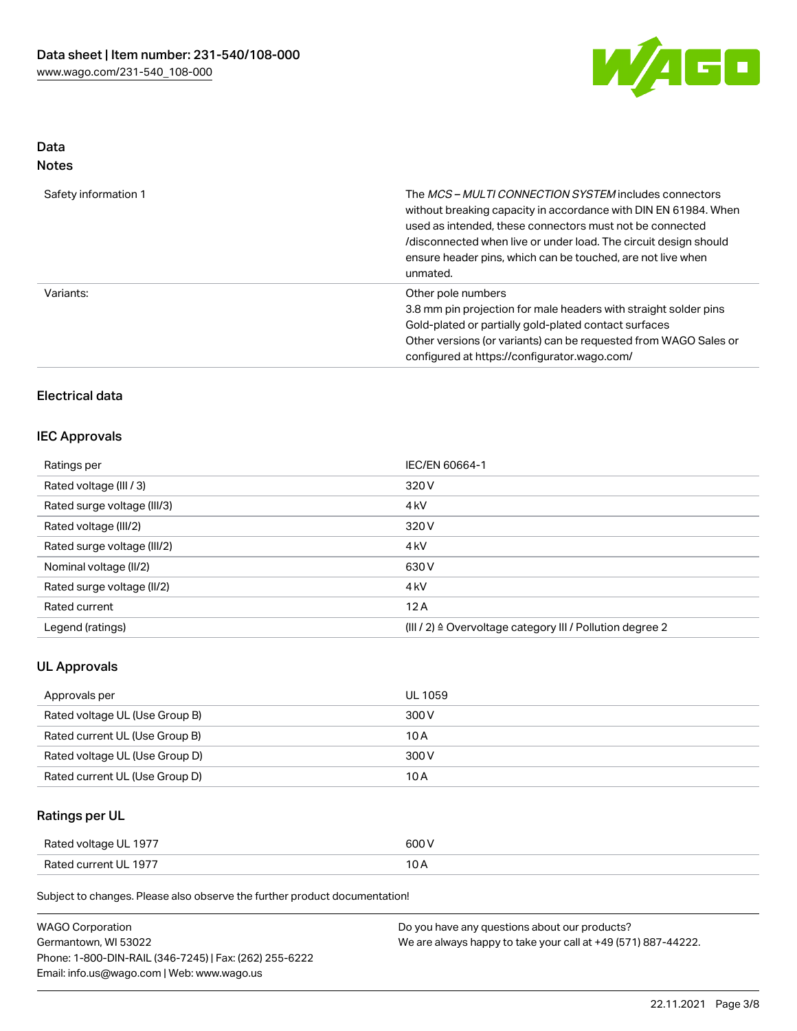

# Data Notes

| Safety information 1 | The <i>MCS – MULTI CONNECTION SYSTEM</i> includes connectors<br>without breaking capacity in accordance with DIN EN 61984. When<br>used as intended, these connectors must not be connected<br>/disconnected when live or under load. The circuit design should<br>ensure header pins, which can be touched, are not live when<br>unmated. |
|----------------------|--------------------------------------------------------------------------------------------------------------------------------------------------------------------------------------------------------------------------------------------------------------------------------------------------------------------------------------------|
| Variants:            | Other pole numbers<br>3.8 mm pin projection for male headers with straight solder pins<br>Gold-plated or partially gold-plated contact surfaces<br>Other versions (or variants) can be requested from WAGO Sales or<br>configured at https://configurator.wago.com/                                                                        |

# Electrical data

# IEC Approvals

| Ratings per                 | IEC/EN 60664-1                                            |
|-----------------------------|-----------------------------------------------------------|
| Rated voltage (III / 3)     | 320 V                                                     |
| Rated surge voltage (III/3) | 4 <sub>kV</sub>                                           |
| Rated voltage (III/2)       | 320 V                                                     |
| Rated surge voltage (III/2) | 4 <sub>kV</sub>                                           |
| Nominal voltage (II/2)      | 630 V                                                     |
| Rated surge voltage (II/2)  | 4 <sub>k</sub> V                                          |
| Rated current               | 12A                                                       |
| Legend (ratings)            | (III / 2) ≙ Overvoltage category III / Pollution degree 2 |

# UL Approvals

| Approvals per                  | UL 1059 |
|--------------------------------|---------|
| Rated voltage UL (Use Group B) | 300 V   |
| Rated current UL (Use Group B) | 10 A    |
| Rated voltage UL (Use Group D) | 300 V   |
| Rated current UL (Use Group D) | 10 A    |

# Ratings per UL

| Rated voltage UL 1977 | 600 V |
|-----------------------|-------|
| Rated current UL 1977 |       |

Subject to changes. Please also observe the further product documentation!

| <b>WAGO Corporation</b>                                | Do you have any questions about our products?                 |
|--------------------------------------------------------|---------------------------------------------------------------|
| Germantown, WI 53022                                   | We are always happy to take your call at +49 (571) 887-44222. |
| Phone: 1-800-DIN-RAIL (346-7245)   Fax: (262) 255-6222 |                                                               |
| Email: info.us@wago.com   Web: www.wago.us             |                                                               |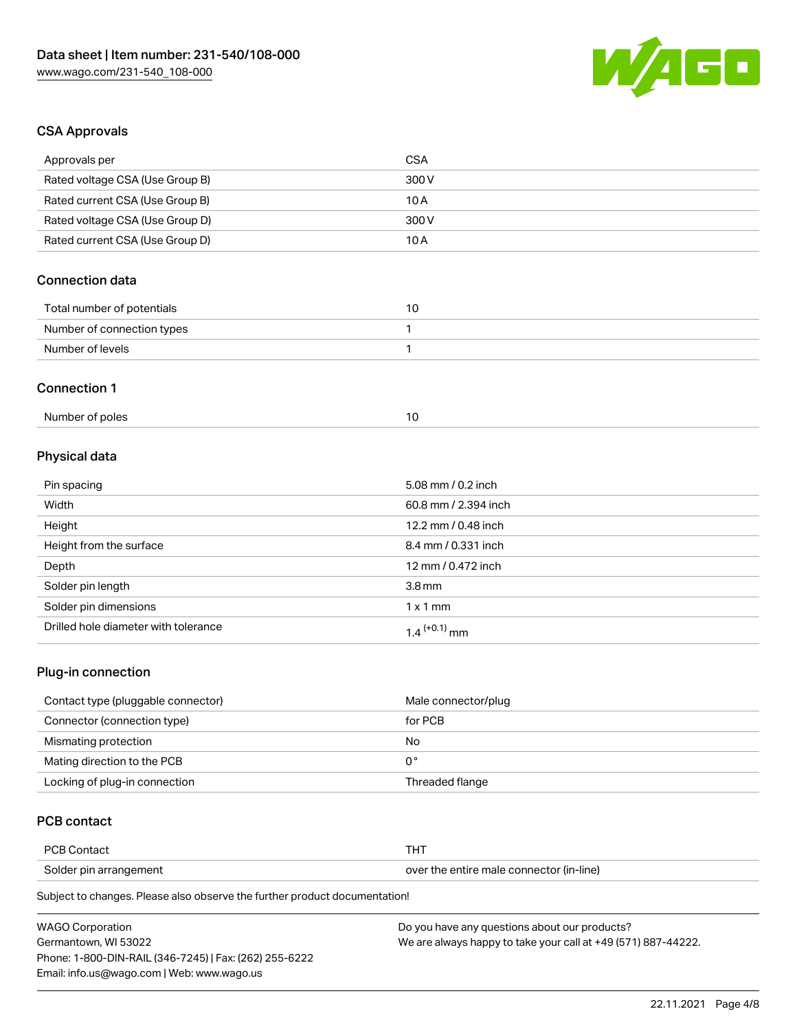

# CSA Approvals

| Approvals per                   | <b>CSA</b>           |  |
|---------------------------------|----------------------|--|
| Rated voltage CSA (Use Group B) | 300V                 |  |
| Rated current CSA (Use Group B) | 10A                  |  |
| Rated voltage CSA (Use Group D) | 300V                 |  |
| Rated current CSA (Use Group D) | 10A                  |  |
| <b>Connection data</b>          |                      |  |
| Total number of potentials      | 10                   |  |
| Number of connection types      | 1                    |  |
| Number of levels                | 1                    |  |
| <b>Connection 1</b>             |                      |  |
| Number of poles                 | 10                   |  |
| Physical data                   |                      |  |
| Pin spacing                     | 5.08 mm / 0.2 inch   |  |
| Width                           | 60.8 mm / 2.394 inch |  |
| Height                          | 12.2 mm / 0.48 inch  |  |
| Height from the surface         | 8.4 mm / 0.331 inch  |  |
| Depth                           | 12 mm / 0.472 inch   |  |
| Solder pin length               | 3.8 <sub>mm</sub>    |  |
| Solder pin dimensions           | $1 \times 1$ mm      |  |

## Plug-in connection

| Contact type (pluggable connector) | Male connector/plug |
|------------------------------------|---------------------|
| Connector (connection type)        | for PCB             |
| Mismating protection               | No                  |
| Mating direction to the PCB        | 0°                  |
| Locking of plug-in connection      | Threaded flange     |

# PCB contact

| <b>PCB Contact</b>     | 1 O J                                    |
|------------------------|------------------------------------------|
| Solder pin arrangement | over the entire male connector (in-line) |

Subject to changes. Please also observe the further product documentation!

Drilled hole diameter with tolerance  $1.4$   $(+0.1)$  mm

| <b>WAGO Corporation</b>                                | Do you have any questions about our products?                 |
|--------------------------------------------------------|---------------------------------------------------------------|
| Germantown. WI 53022                                   | We are always happy to take your call at +49 (571) 887-44222. |
| Phone: 1-800-DIN-RAIL (346-7245)   Fax: (262) 255-6222 |                                                               |
| Email: info.us@wago.com   Web: www.wago.us             |                                                               |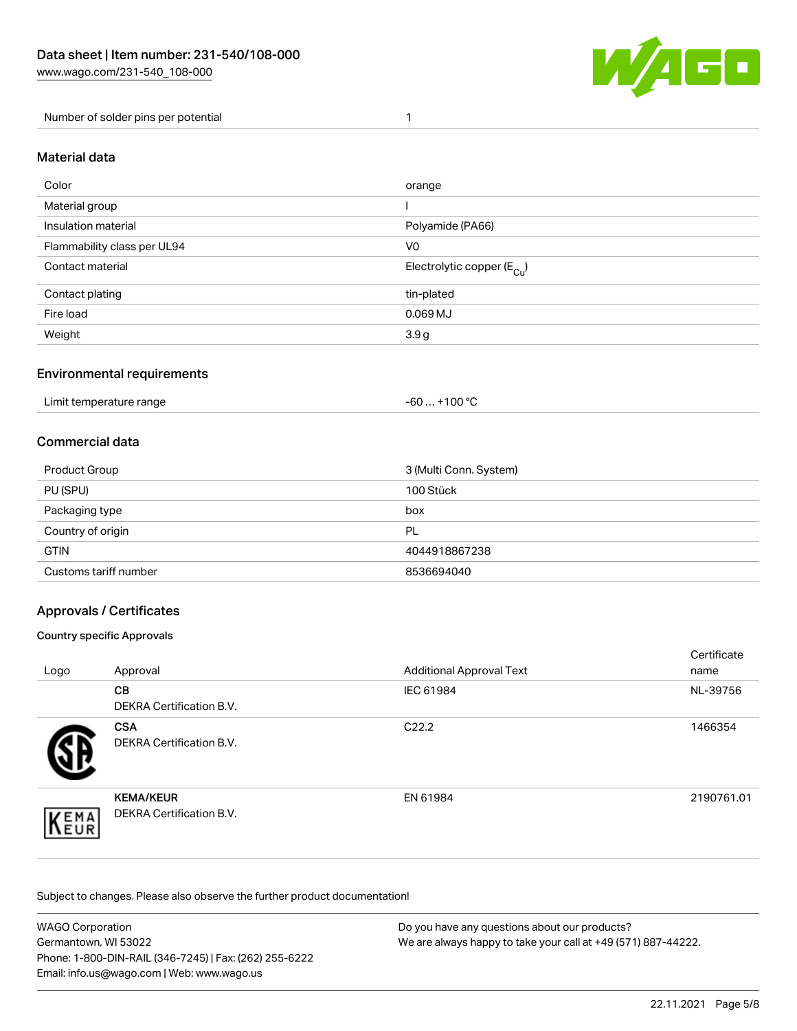

## Number of solder pins per potential 1

### Material data

| Color                       | orange                                 |
|-----------------------------|----------------------------------------|
| Material group              |                                        |
| Insulation material         | Polyamide (PA66)                       |
| Flammability class per UL94 | V <sub>0</sub>                         |
| Contact material            | Electrolytic copper (E <sub>Cu</sub> ) |
| Contact plating             | tin-plated                             |
| Fire load                   | $0.069$ MJ                             |
| Weight                      | 3.9 <sub>g</sub>                       |

## Environmental requirements

Limit temperature range  $-60...+100 °C$ 

## Commercial data

| Product Group         | 3 (Multi Conn. System) |
|-----------------------|------------------------|
| PU (SPU)              | 100 Stück              |
| Packaging type        | box                    |
| Country of origin     | <b>PL</b>              |
| <b>GTIN</b>           | 4044918867238          |
| Customs tariff number | 8536694040             |

# Approvals / Certificates

### Country specific Approvals

| Logo                | Approval                                            | <b>Additional Approval Text</b> | Certificate<br>name |
|---------------------|-----------------------------------------------------|---------------------------------|---------------------|
|                     | <b>CB</b><br><b>DEKRA Certification B.V.</b>        | IEC 61984                       | NL-39756            |
|                     | <b>CSA</b><br>DEKRA Certification B.V.              | C <sub>22.2</sub>               | 1466354             |
| EMA<br><b>INEUR</b> | <b>KEMA/KEUR</b><br><b>DEKRA Certification B.V.</b> | EN 61984                        | 2190761.01          |

Subject to changes. Please also observe the further product documentation!

| <b>WAGO Corporation</b>                                | Do you have any questions about our products?                 |
|--------------------------------------------------------|---------------------------------------------------------------|
| Germantown. WI 53022                                   | We are always happy to take your call at +49 (571) 887-44222. |
| Phone: 1-800-DIN-RAIL (346-7245)   Fax: (262) 255-6222 |                                                               |
| Email: info.us@wago.com   Web: www.wago.us             |                                                               |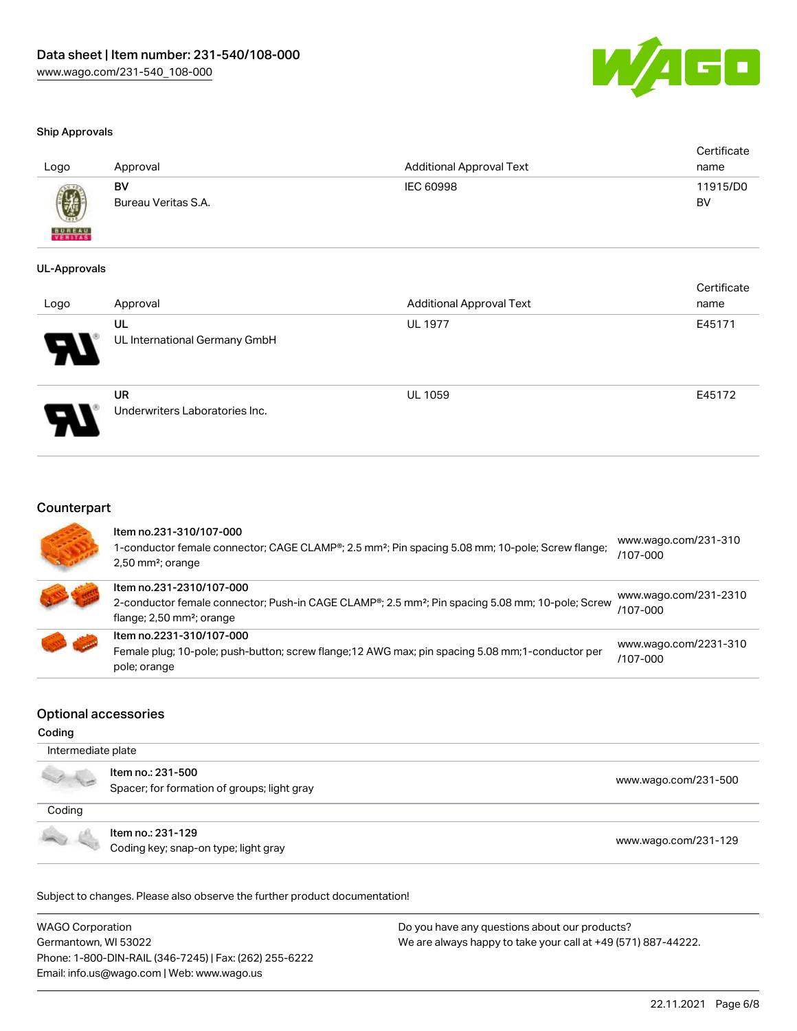

#### Ship Approvals

| Logo                     | Approval                  | Additional Approval Text | Certificate<br>name |
|--------------------------|---------------------------|--------------------------|---------------------|
|                          | BV<br>Bureau Veritas S.A. | IEC 60998                | 11915/D0<br>BV      |
| <b>BUREAU</b><br>VERITAS |                           |                          |                     |

#### UL-Approvals

| Logo                  | Approval                                    | <b>Additional Approval Text</b> | Certificate<br>name |
|-----------------------|---------------------------------------------|---------------------------------|---------------------|
| $\boldsymbol{\theta}$ | UL<br>UL International Germany GmbH         | <b>UL 1977</b>                  | E45171              |
| J                     | <b>UR</b><br>Underwriters Laboratories Inc. | <b>UL 1059</b>                  | E45172              |

## **Counterpart**

| Item no.231-310/107-000<br>1-conductor female connector; CAGE CLAMP®; 2.5 mm <sup>2</sup> ; Pin spacing 5.08 mm; 10-pole; Screw flange;<br>$2,50$ mm <sup>2</sup> ; orange        | www.wago.com/231-310<br>$/107 - 000$ |
|-----------------------------------------------------------------------------------------------------------------------------------------------------------------------------------|--------------------------------------|
| Item no.231-2310/107-000<br>2-conductor female connector; Push-in CAGE CLAMP®; 2.5 mm <sup>2</sup> ; Pin spacing 5.08 mm; 10-pole; Screw<br>flange; 2,50 mm <sup>2</sup> ; orange | www.wago.com/231-2310<br>/107-000    |
| Item no.2231-310/107-000<br>Female plug; 10-pole; push-button; screw flange; 12 AWG max; pin spacing 5.08 mm; 1-conductor per<br>pole; orange                                     | www.wago.com/2231-310<br>/107-000    |

## Optional accessories

#### Coding

| Intermediate plate |                                                                  |                      |
|--------------------|------------------------------------------------------------------|----------------------|
|                    | Item no.: 231-500<br>Spacer; for formation of groups; light gray | www.wago.com/231-500 |
| Coding             |                                                                  |                      |
|                    | ltem no.: 231-129<br>Coding key; snap-on type; light gray        | www.wago.com/231-129 |

Subject to changes. Please also observe the further product documentation!

WAGO Corporation Germantown, WI 53022 Phone: 1-800-DIN-RAIL (346-7245) | Fax: (262) 255-6222 Email: info.us@wago.com | Web: www.wago.us Do you have any questions about our products? We are always happy to take your call at +49 (571) 887-44222.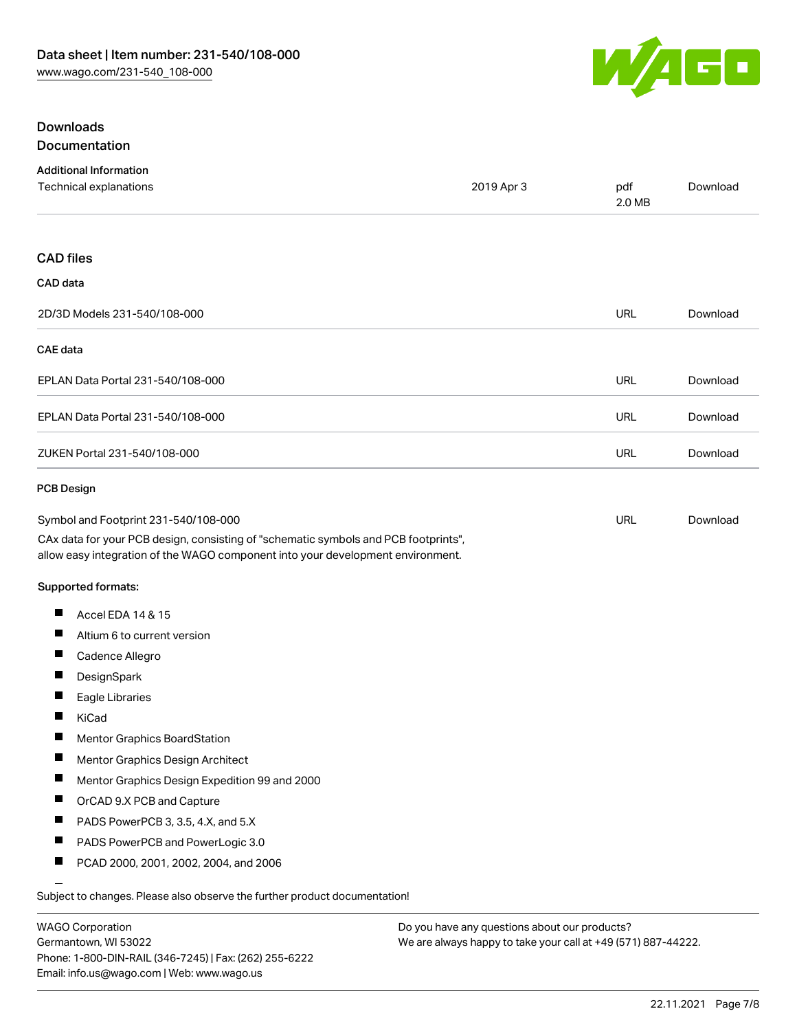

#### Downloads Documentation

| Documentation |  |
|---------------|--|
|---------------|--|

| <b>Additional Information</b><br>Technical explanations                                                                                                                | 2019 Apr 3 | pdf<br>2.0 MB | Download |
|------------------------------------------------------------------------------------------------------------------------------------------------------------------------|------------|---------------|----------|
|                                                                                                                                                                        |            |               |          |
| <b>CAD files</b>                                                                                                                                                       |            |               |          |
| CAD data                                                                                                                                                               |            |               |          |
|                                                                                                                                                                        |            |               |          |
| 2D/3D Models 231-540/108-000                                                                                                                                           |            | <b>URL</b>    | Download |
| <b>CAE</b> data                                                                                                                                                        |            |               |          |
| EPLAN Data Portal 231-540/108-000                                                                                                                                      |            | <b>URL</b>    | Download |
| EPLAN Data Portal 231-540/108-000                                                                                                                                      |            | <b>URL</b>    | Download |
| ZUKEN Portal 231-540/108-000                                                                                                                                           |            | URL           | Download |
| <b>PCB Design</b>                                                                                                                                                      |            |               |          |
| Symbol and Footprint 231-540/108-000                                                                                                                                   |            | URL           | Download |
| CAx data for your PCB design, consisting of "schematic symbols and PCB footprints",<br>allow easy integration of the WAGO component into your development environment. |            |               |          |
| Supported formats:                                                                                                                                                     |            |               |          |
| ш<br>Accel EDA 14 & 15                                                                                                                                                 |            |               |          |
| ш<br>Altium 6 to current version                                                                                                                                       |            |               |          |
| Ш<br>Cadence Allegro                                                                                                                                                   |            |               |          |
| $\blacksquare$<br>DesignSpark                                                                                                                                          |            |               |          |
| Ш<br>Eagle Libraries                                                                                                                                                   |            |               |          |
| KiCad                                                                                                                                                                  |            |               |          |
| ш<br>Mentor Graphics BoardStation                                                                                                                                      |            |               |          |
| Mentor Graphics Design Architect<br>Ш                                                                                                                                  |            |               |          |
| Ш<br>Mentor Graphics Design Expedition 99 and 2000                                                                                                                     |            |               |          |
| ш<br>OrCAD 9.X PCB and Capture                                                                                                                                         |            |               |          |
| PADS PowerPCB 3, 3.5, 4.X, and 5.X                                                                                                                                     |            |               |          |
| $\blacksquare$<br>PADS PowerPCB and PowerLogic 3.0                                                                                                                     |            |               |          |
| ш<br>PCAD 2000, 2001, 2002, 2004, and 2006                                                                                                                             |            |               |          |
| Subject to changes. Please also observe the further product documentation!                                                                                             |            |               |          |
|                                                                                                                                                                        |            |               |          |